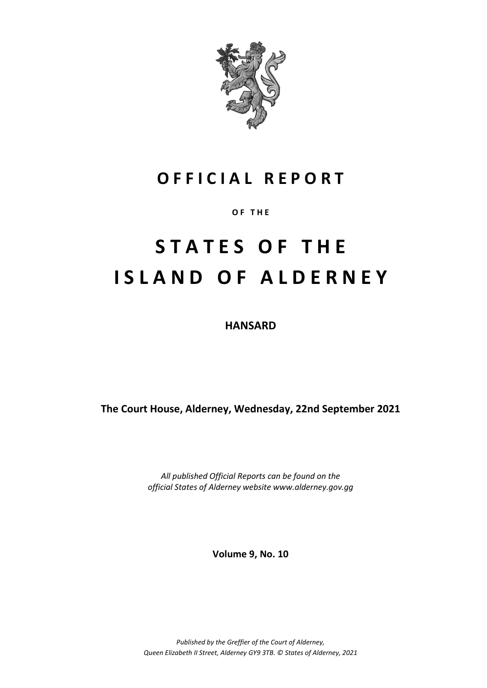

### **O F F I C I A L R E P O R T**

**O F T H E**

# **S T A T E S O F T H E I S L A N D O F A L D E R N E Y**

**HANSARD**

**The Court House, Alderney, Wednesday, 22nd September 2021**

*All published Official Reports can be found on the official States of Alderney website www.alderney.gov.gg*

**Volume 9, No. 10**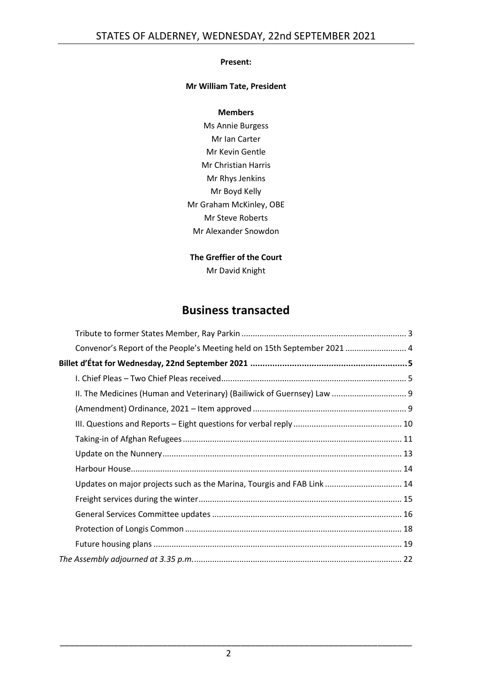#### **Present:**

#### **Mr William Tate, President**

#### **Members**

Ms Annie Burgess Mr Ian Carter Mr Kevin Gentle Mr Christian Harris Mr Rhys Jenkins Mr Boyd Kelly Mr Graham McKinley, OBE Mr Steve Roberts Mr Alexander Snowdon

#### **The Greffier of the Court** Mr David Knight

### **Business transacted**

| Convenor's Report of the People's Meeting held on 15th September 2021  4 |  |
|--------------------------------------------------------------------------|--|
|                                                                          |  |
|                                                                          |  |
| II. The Medicines (Human and Veterinary) (Bailiwick of Guernsey) Law  9  |  |
|                                                                          |  |
|                                                                          |  |
|                                                                          |  |
|                                                                          |  |
|                                                                          |  |
| Updates on major projects such as the Marina, Tourgis and FAB Link  14   |  |
|                                                                          |  |
|                                                                          |  |
|                                                                          |  |
|                                                                          |  |
|                                                                          |  |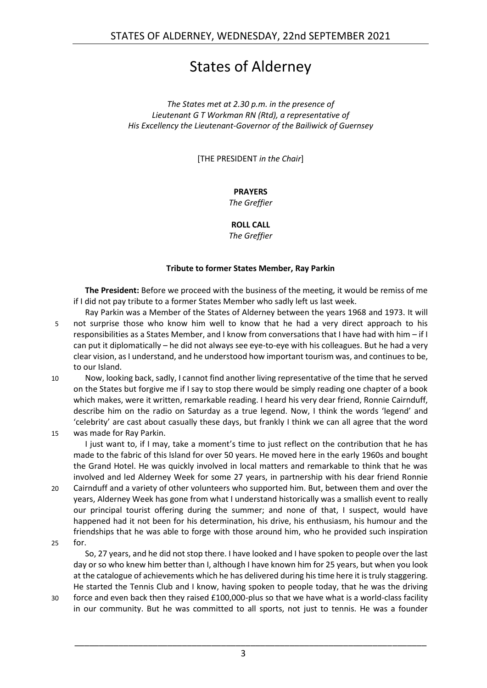### States of Alderney

*The States met at 2.30 p.m. in the presence of Lieutenant G T Workman RN (Rtd), a representative of His Excellency the Lieutenant-Governor of the Bailiwick of Guernsey*

[THE PRESIDENT *in the Chair*]

#### **PRAYERS**

*The Greffier*

**ROLL CALL**

*The Greffier*

#### **Tribute to former States Member, Ray Parkin**

<span id="page-2-0"></span>**The President:** Before we proceed with the business of the meeting, it would be remiss of me if I did not pay tribute to a former States Member who sadly left us last week.

- Ray Parkin was a Member of the States of Alderney between the years 1968 and 1973. It will 5 not surprise those who know him well to know that he had a very direct approach to his responsibilities as a States Member, and I know from conversations that I have had with him – if I can put it diplomatically – he did not always see eye-to-eye with his colleagues. But he had a very clear vision, as I understand, and he understood how important tourism was, and continues to be, to our Island.
- 10 Now, looking back, sadly, I cannot find another living representative of the time that he served on the States but forgive me if I say to stop there would be simply reading one chapter of a book which makes, were it written, remarkable reading. I heard his very dear friend, Ronnie Cairnduff, describe him on the radio on Saturday as a true legend. Now, I think the words 'legend' and 'celebrity' are cast about casually these days, but frankly I think we can all agree that the word
- 15 was made for Ray Parkin.

I just want to, if I may, take a moment's time to just reflect on the contribution that he has made to the fabric of this Island for over 50 years. He moved here in the early 1960s and bought the Grand Hotel. He was quickly involved in local matters and remarkable to think that he was involved and led Alderney Week for some 27 years, in partnership with his dear friend Ronnie

- 20 Cairnduff and a variety of other volunteers who supported him. But, between them and over the years, Alderney Week has gone from what I understand historically was a smallish event to really our principal tourist offering during the summer; and none of that, I suspect, would have happened had it not been for his determination, his drive, his enthusiasm, his humour and the friendships that he was able to forge with those around him, who he provided such inspiration
- 25 for.

So, 27 years, and he did not stop there. I have looked and I have spoken to people over the last day or so who knew him better than I, although I have known him for 25 years, but when you look at the catalogue of achievements which he has delivered during his time here it is truly staggering. He started the Tennis Club and I know, having spoken to people today, that he was the driving

30 force and even back then they raised £100,000-plus so that we have what is a world-class facility in our community. But he was committed to all sports, not just to tennis. He was a founder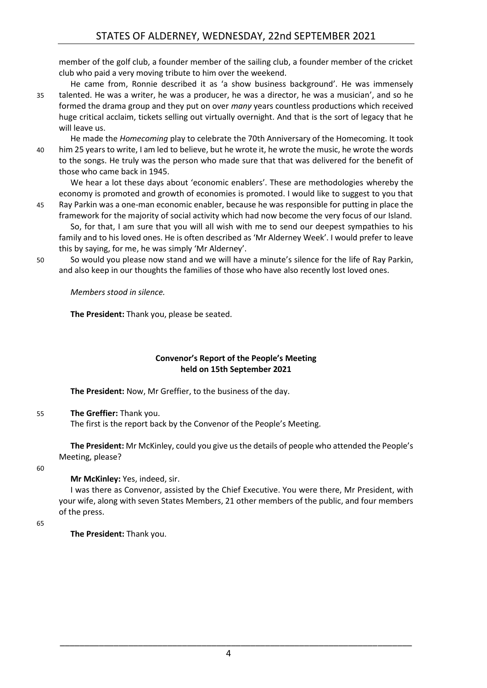member of the golf club, a founder member of the sailing club, a founder member of the cricket club who paid a very moving tribute to him over the weekend.

He came from, Ronnie described it as 'a show business background'. He was immensely 35 talented. He was a writer, he was a producer, he was a director, he was a musician', and so he formed the drama group and they put on over *many* years countless productions which received huge critical acclaim, tickets selling out virtually overnight. And that is the sort of legacy that he will leave us.

He made the *Homecoming* play to celebrate the 70th Anniversary of the Homecoming. It took 40 him 25 years to write, I am led to believe, but he wrote it, he wrote the music, he wrote the words to the songs. He truly was the person who made sure that that was delivered for the benefit of those who came back in 1945.

We hear a lot these days about 'economic enablers'. These are methodologies whereby the economy is promoted and growth of economies is promoted. I would like to suggest to you that

- 45 Ray Parkin was a one-man economic enabler, because he was responsible for putting in place the framework for the majority of social activity which had now become the very focus of our Island. So, for that, I am sure that you will all wish with me to send our deepest sympathies to his family and to his loved ones. He is often described as 'Mr Alderney Week'. I would prefer to leave this by saying, for me, he was simply 'Mr Alderney'.
- 50 So would you please now stand and we will have a minute's silence for the life of Ray Parkin, and also keep in our thoughts the families of those who have also recently lost loved ones.

*Members stood in silence.*

**The President:** Thank you, please be seated.

#### **Convenor's Report of the People's Meeting held on 15th September 2021**

<span id="page-3-0"></span>**The President:** Now, Mr Greffier, to the business of the day.

55 **The Greffier:** Thank you.

The first is the report back by the Convenor of the People's Meeting.

**The President:** Mr McKinley, could you give us the details of people who attended the People's Meeting, please?

60

**Mr McKinley:** Yes, indeed, sir.

I was there as Convenor, assisted by the Chief Executive. You were there, Mr President, with your wife, along with seven States Members, 21 other members of the public, and four members of the press.

65

**The President:** Thank you.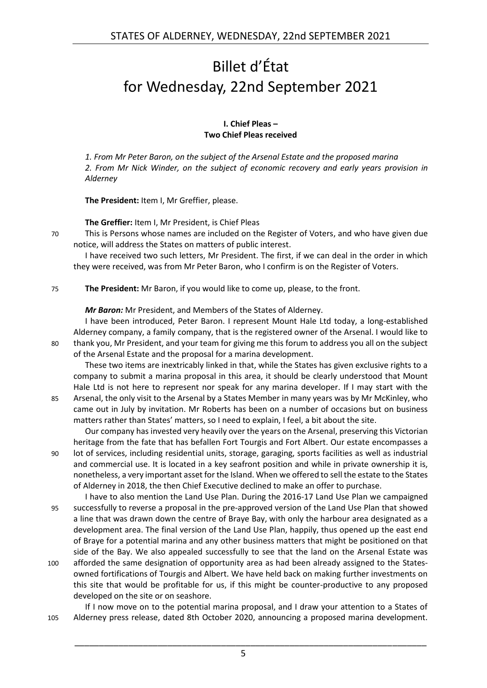## <span id="page-4-0"></span>Billet d'État for Wednesday, 22nd September 2021

#### **I. Chief Pleas – Two Chief Pleas received**

<span id="page-4-1"></span>*1. From Mr Peter Baron, on the subject of the Arsenal Estate and the proposed marina 2. From Mr Nick Winder, on the subject of economic recovery and early years provision in Alderney*

**The President:** Item I, Mr Greffier, please.

**The Greffier:** Item I, Mr President, is Chief Pleas

70 This is Persons whose names are included on the Register of Voters, and who have given due notice, will address the States on matters of public interest.

I have received two such letters, Mr President. The first, if we can deal in the order in which they were received, was from Mr Peter Baron, who I confirm is on the Register of Voters.

75 **The President:** Mr Baron, if you would like to come up, please, to the front.

*Mr Baron:* Mr President, and Members of the States of Alderney.

I have been introduced, Peter Baron. I represent Mount Hale Ltd today, a long-established Alderney company, a family company, that is the registered owner of the Arsenal. I would like to 80 thank you, Mr President, and your team for giving me this forum to address you all on the subject of the Arsenal Estate and the proposal for a marina development.

These two items are inextricably linked in that, while the States has given exclusive rights to a company to submit a marina proposal in this area, it should be clearly understood that Mount Hale Ltd is not here to represent nor speak for any marina developer. If I may start with the

85 Arsenal, the only visit to the Arsenal by a States Member in many years was by Mr McKinley, who came out in July by invitation. Mr Roberts has been on a number of occasions but on business matters rather than States' matters, so I need to explain, I feel, a bit about the site.

Our company has invested very heavily over the years on the Arsenal, preserving this Victorian heritage from the fate that has befallen Fort Tourgis and Fort Albert. Our estate encompasses a 90 lot of services, including residential units, storage, garaging, sports facilities as well as industrial and commercial use. It is located in a key seafront position and while in private ownership it is, nonetheless, a very important asset for the Island. When we offered to sell the estate to the States of Alderney in 2018, the then Chief Executive declined to make an offer to purchase.

I have to also mention the Land Use Plan. During the 2016-17 Land Use Plan we campaigned 95 successfully to reverse a proposal in the pre-approved version of the Land Use Plan that showed a line that was drawn down the centre of Braye Bay, with only the harbour area designated as a development area. The final version of the Land Use Plan, happily, thus opened up the east end of Braye for a potential marina and any other business matters that might be positioned on that side of the Bay. We also appealed successfully to see that the land on the Arsenal Estate was

100 afforded the same designation of opportunity area as had been already assigned to the Statesowned fortifications of Tourgis and Albert. We have held back on making further investments on this site that would be profitable for us, if this might be counter-productive to any proposed developed on the site or on seashore.

If I now move on to the potential marina proposal, and I draw your attention to a States of 105 Alderney press release, dated 8th October 2020, announcing a proposed marina development.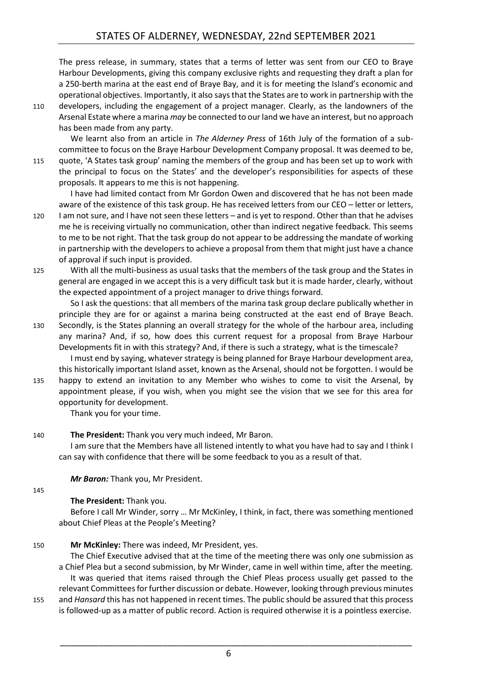The press release, in summary, states that a terms of letter was sent from our CEO to Braye Harbour Developments, giving this company exclusive rights and requesting they draft a plan for a 250-berth marina at the east end of Braye Bay, and it is for meeting the Island's economic and operational objectives. Importantly, it also says that the States are to work in partnership with the

110 developers, including the engagement of a project manager. Clearly, as the landowners of the Arsenal Estate where a marina *may* be connected to our land we have an interest, but no approach has been made from any party.

We learnt also from an article in *The Alderney Press* of 16th July of the formation of a subcommittee to focus on the Braye Harbour Development Company proposal. It was deemed to be,

115 quote, 'A States task group' naming the members of the group and has been set up to work with the principal to focus on the States' and the developer's responsibilities for aspects of these proposals. It appears to me this is not happening.

I have had limited contact from Mr Gordon Owen and discovered that he has not been made aware of the existence of this task group. He has received letters from our CEO – letter or letters,

- 120 I am not sure, and I have not seen these letters and is yet to respond. Other than that he advises me he is receiving virtually no communication, other than indirect negative feedback. This seems to me to be not right. That the task group do not appear to be addressing the mandate of working in partnership with the developers to achieve a proposal from them that might just have a chance of approval if such input is provided.
- 125 With all the multi-business as usual tasks that the members of the task group and the States in general are engaged in we accept this is a very difficult task but it is made harder, clearly, without the expected appointment of a project manager to drive things forward.

So I ask the questions: that all members of the marina task group declare publically whether in principle they are for or against a marina being constructed at the east end of Braye Beach.

- 130 Secondly, is the States planning an overall strategy for the whole of the harbour area, including any marina? And, if so, how does this current request for a proposal from Braye Harbour Developments fit in with this strategy? And, if there is such a strategy, what is the timescale? I must end by saying, whatever strategy is being planned for Braye Harbour development area, this historically important Island asset, known as the Arsenal, should not be forgotten. I would be
- 135 happy to extend an invitation to any Member who wishes to come to visit the Arsenal, by appointment please, if you wish, when you might see the vision that we see for this area for opportunity for development.

Thank you for your time.

#### 140 **The President:** Thank you very much indeed, Mr Baron.

I am sure that the Members have all listened intently to what you have had to say and I think I can say with confidence that there will be some feedback to you as a result of that.

*Mr Baron:* Thank you, Mr President.

145

#### **The President:** Thank you.

Before I call Mr Winder, sorry … Mr McKinley, I think, in fact, there was something mentioned about Chief Pleas at the People's Meeting?

150 **Mr McKinley:** There was indeed, Mr President, yes.

The Chief Executive advised that at the time of the meeting there was only one submission as a Chief Plea but a second submission, by Mr Winder, came in well within time, after the meeting. It was queried that items raised through the Chief Pleas process usually get passed to the relevant Committees for further discussion or debate. However, looking through previous minutes

155 and *Hansard* this has not happened in recent times. The public should be assured that this process is followed-up as a matter of public record. Action is required otherwise it is a pointless exercise.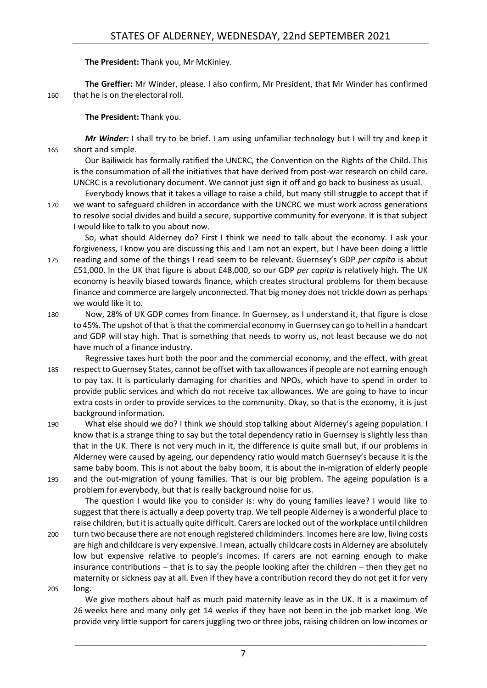**The President:** Thank you, Mr McKinley.

**The Greffier:** Mr Winder, please. I also confirm, Mr President, that Mr Winder has confirmed 160 that he is on the electoral roll.

**The President:** Thank you.

*Mr Winder:* I shall try to be brief. I am using unfamiliar technology but I will try and keep it 165 short and simple.

Our Bailiwick has formally ratified the UNCRC, the Convention on the Rights of the Child. This is the consummation of all the initiatives that have derived from post-war research on child care. UNCRC is a revolutionary document. We cannot just sign it off and go back to business as usual.

Everybody knows that it takes a village to raise a child, but many still struggle to accept that if 170 we want to safeguard children in accordance with the UNCRC we must work across generations

to resolve social divides and build a secure, supportive community for everyone. It is that subject I would like to talk to you about now.

So, what should Alderney do? First I think we need to talk about the economy. I ask your forgiveness, I know you are discussing this and I am not an expert, but I have been doing a little 175 reading and some of the things I read seem to be relevant. Guernsey's GDP *per capita* is about

£51,000. In the UK that figure is about £48,000, so our GDP *per capita* is relatively high. The UK economy is heavily biased towards finance, which creates structural problems for them because finance and commerce are largely unconnected. That big money does not trickle down as perhaps we would like it to.

- 180 Now, 28% of UK GDP comes from finance. In Guernsey, as I understand it, that figure is close to 45%. The upshot of that is that the commercial economy in Guernsey can go to hell in a handcart and GDP will stay high. That is something that needs to worry us, not least because we do not have much of a finance industry.
- Regressive taxes hurt both the poor and the commercial economy, and the effect, with great 185 respect to Guernsey States, cannot be offset with tax allowances if people are not earning enough to pay tax. It is particularly damaging for charities and NPOs, which have to spend in order to provide public services and which do not receive tax allowances. We are going to have to incur extra costs in order to provide services to the community. Okay, so that is the economy, it is just background information.
- 190 What else should we do? I think we should stop talking about Alderney's ageing population. I know that is a strange thing to say but the total dependency ratio in Guernsey is slightly less than that in the UK. There is not very much in it, the difference is quite small but, if our problems in Alderney were caused by ageing, our dependency ratio would match Guernsey's because it is the same baby boom. This is not about the baby boom, it is about the in-migration of elderly people 195 and the out-migration of young families. That is our big problem. The ageing population is a problem for everybody, but that is really background noise for us.

The question I would like you to consider is: why do young families leave? I would like to suggest that there is actually a deep poverty trap. We tell people Alderney is a wonderful place to raise children, but it is actually quite difficult. Carers are locked out of the workplace until children

- 200 turn two because there are not enough registered childminders. Incomes here are low, living costs are high and childcare is very expensive. I mean, actually childcare costs in Alderney are absolutely low but expensive relative to people's incomes. If carers are not earning enough to make insurance contributions – that is to say the people looking after the children – then they get no maternity or sickness pay at all. Even if they have a contribution record they do not get it for very 205 long.
	- We give mothers about half as much paid maternity leave as in the UK. It is a maximum of 26 weeks here and many only get 14 weeks if they have not been in the job market long. We provide very little support for carers juggling two or three jobs, raising children on low incomes or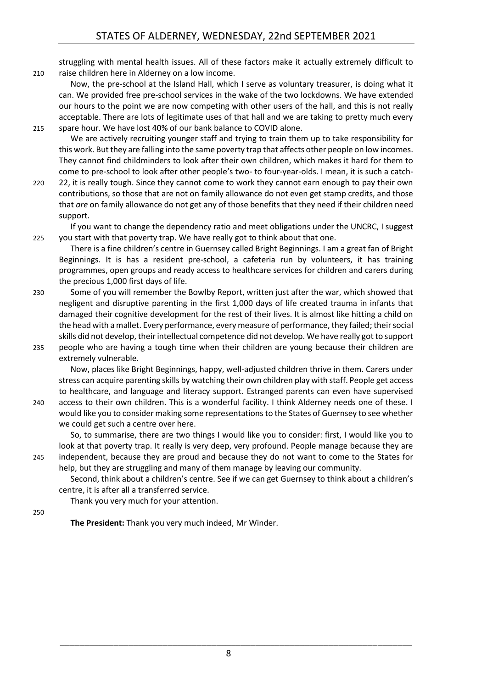struggling with mental health issues. All of these factors make it actually extremely difficult to 210 raise children here in Alderney on a low income.

Now, the pre-school at the Island Hall, which I serve as voluntary treasurer, is doing what it can. We provided free pre-school services in the wake of the two lockdowns. We have extended our hours to the point we are now competing with other users of the hall, and this is not really acceptable. There are lots of legitimate uses of that hall and we are taking to pretty much every 215 spare hour. We have lost 40% of our bank balance to COVID alone.

We are actively recruiting younger staff and trying to train them up to take responsibility for this work. But they are falling into the same poverty trap that affects other people on low incomes. They cannot find childminders to look after their own children, which makes it hard for them to come to pre-school to look after other people's two- to four-year-olds. I mean, it is such a catch-

220 22, it is really tough. Since they cannot come to work they cannot earn enough to pay their own contributions, so those that are not on family allowance do not even get stamp credits, and those that *are* on family allowance do not get any of those benefits that they need if their children need support.

If you want to change the dependency ratio and meet obligations under the UNCRC, I suggest 225 you start with that poverty trap. We have really got to think about that one.

There is a fine children's centre in Guernsey called Bright Beginnings. I am a great fan of Bright Beginnings. It is has a resident pre-school, a cafeteria run by volunteers, it has training programmes, open groups and ready access to healthcare services for children and carers during the precious 1,000 first days of life.

- 230 Some of you will remember the Bowlby Report, written just after the war, which showed that negligent and disruptive parenting in the first 1,000 days of life created trauma in infants that damaged their cognitive development for the rest of their lives. It is almost like hitting a child on the head with a mallet. Every performance, every measure of performance, they failed; their social skills did not develop, their intellectual competence did not develop. We have really got to support 235 people who are having a tough time when their children are young because their children are
- extremely vulnerable.

Now, places like Bright Beginnings, happy, well-adjusted children thrive in them. Carers under stress can acquire parenting skills by watching their own children play with staff. People get access to healthcare, and language and literacy support. Estranged parents can even have supervised

240 access to their own children. This is a wonderful facility. I think Alderney needs one of these. I would like you to consider making some representations to the States of Guernsey to see whether we could get such a centre over here.

So, to summarise, there are two things I would like you to consider: first, I would like you to look at that poverty trap. It really is very deep, very profound. People manage because they are 245 independent, because they are proud and because they do not want to come to the States for help, but they are struggling and many of them manage by leaving our community.

Second, think about a children's centre. See if we can get Guernsey to think about a children's centre, it is after all a transferred service.

Thank you very much for your attention.

250

**The President:** Thank you very much indeed, Mr Winder.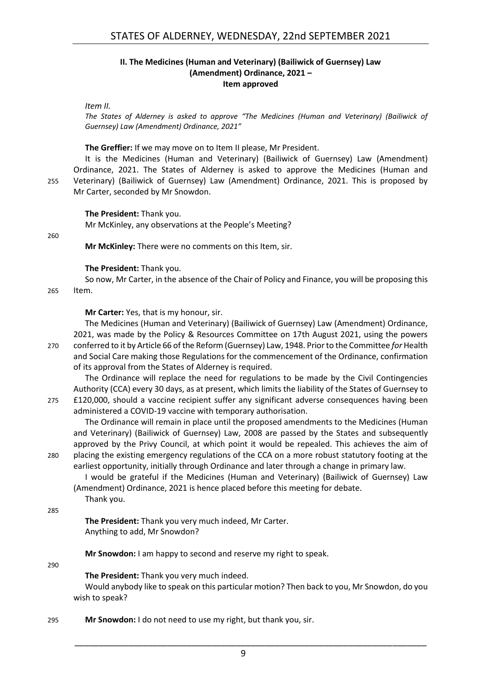#### **II. The Medicines (Human and Veterinary) (Bailiwick of Guernsey) Law (Amendment) Ordinance, 2021 – Item approved**

<span id="page-8-1"></span><span id="page-8-0"></span>*Item II.*

*The States of Alderney is asked to approve "The Medicines (Human and Veterinary) (Bailiwick of Guernsey) Law (Amendment) Ordinance, 2021"*

#### **The Greffier:** If we may move on to Item II please, Mr President.

It is the Medicines (Human and Veterinary) (Bailiwick of Guernsey) Law (Amendment) Ordinance, 2021. The States of Alderney is asked to approve the Medicines (Human and 255 Veterinary) (Bailiwick of Guernsey) Law (Amendment) Ordinance, 2021. This is proposed by Mr Carter, seconded by Mr Snowdon.

#### **The President:** Thank you.

Mr McKinley, any observations at the People's Meeting?

260

**Mr McKinley:** There were no comments on this Item, sir.

#### **The President:** Thank you.

So now, Mr Carter, in the absence of the Chair of Policy and Finance, you will be proposing this

265 Item.

**Mr Carter:** Yes, that is my honour, sir.

The Medicines (Human and Veterinary) (Bailiwick of Guernsey) Law (Amendment) Ordinance, 2021, was made by the Policy & Resources Committee on 17th August 2021, using the powers 270 conferred to it by Article 66 of the Reform (Guernsey) Law, 1948. Prior to the Committee *for* Health and Social Care making those Regulations for the commencement of the Ordinance, confirmation of its approval from the States of Alderney is required.

The Ordinance will replace the need for regulations to be made by the Civil Contingencies Authority (CCA) every 30 days, as at present, which limits the liability of the States of Guernsey to 275 £120,000, should a vaccine recipient suffer any significant adverse consequences having been administered a COVID-19 vaccine with temporary authorisation.

The Ordinance will remain in place until the proposed amendments to the Medicines (Human and Veterinary) (Bailiwick of Guernsey) Law, 2008 are passed by the States and subsequently approved by the Privy Council, at which point it would be repealed. This achieves the aim of 280 placing the existing emergency regulations of the CCA on a more robust statutory footing at the earliest opportunity, initially through Ordinance and later through a change in primary law.

I would be grateful if the Medicines (Human and Veterinary) (Bailiwick of Guernsey) Law (Amendment) Ordinance, 2021 is hence placed before this meeting for debate. Thank you.

285

**The President:** Thank you very much indeed, Mr Carter. Anything to add, Mr Snowdon?

**Mr Snowdon:** I am happy to second and reserve my right to speak.

290

**The President:** Thank you very much indeed.

Would anybody like to speak on this particular motion? Then back to you, Mr Snowdon, do you wish to speak?

295 **Mr Snowdon:** I do not need to use my right, but thank you, sir.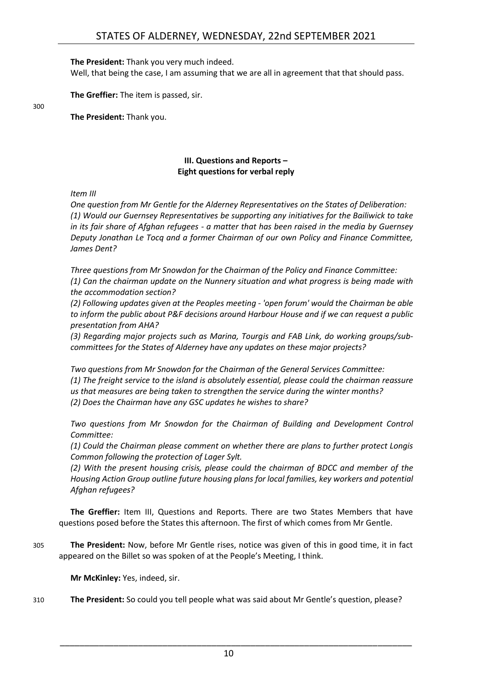**The President:** Thank you very much indeed.

Well, that being the case, I am assuming that we are all in agreement that that should pass.

**The Greffier:** The item is passed, sir.

300

**The President:** Thank you.

#### **III. Questions and Reports – Eight questions for verbal reply**

<span id="page-9-0"></span>*Item III*

*One question from Mr Gentle for the Alderney Representatives on the States of Deliberation: (1) Would our Guernsey Representatives be supporting any initiatives for the Bailiwick to take in its fair share of Afghan refugees - a matter that has been raised in the media by Guernsey Deputy Jonathan Le Tocq and a former Chairman of our own Policy and Finance Committee, James Dent?*

*Three questions from Mr Snowdon for the Chairman of the Policy and Finance Committee: (1) Can the chairman update on the Nunnery situation and what progress is being made with the accommodation section?*

*(2) Following updates given at the Peoples meeting - 'open forum' would the Chairman be able to inform the public about P&F decisions around Harbour House and if we can request a public presentation from AHA?*

*(3) Regarding major projects such as Marina, Tourgis and FAB Link, do working groups/subcommittees for the States of Alderney have any updates on these major projects?*

*Two questions from Mr Snowdon for the Chairman of the General Services Committee: (1) The freight service to the island is absolutely essential, please could the chairman reassure us that measures are being taken to strengthen the service during the winter months? (2) Does the Chairman have any GSC updates he wishes to share?*

*Two questions from Mr Snowdon for the Chairman of Building and Development Control Committee:*

*(1) Could the Chairman please comment on whether there are plans to further protect Longis Common following the protection of Lager Sylt.* 

*(2) With the present housing crisis, please could the chairman of BDCC and member of the Housing Action Group outline future housing plans for local families, key workers and potential Afghan refugees?*

**The Greffier:** Item III, Questions and Reports. There are two States Members that have questions posed before the States this afternoon. The first of which comes from Mr Gentle.

305 **The President:** Now, before Mr Gentle rises, notice was given of this in good time, it in fact appeared on the Billet so was spoken of at the People's Meeting, I think.

**Mr McKinley:** Yes, indeed, sir.

310 **The President:** So could you tell people what was said about Mr Gentle's question, please?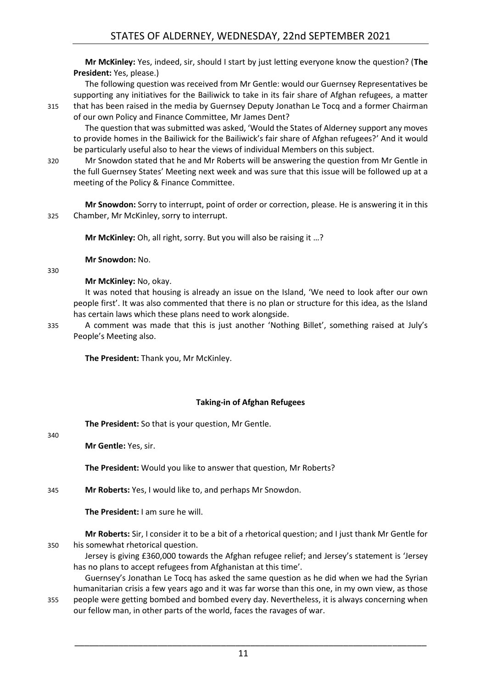**Mr McKinley:** Yes, indeed, sir, should I start by just letting everyone know the question? (**The President:** Yes, please.)

The following question was received from Mr Gentle: would our Guernsey Representatives be supporting any initiatives for the Bailiwick to take in its fair share of Afghan refugees, a matter 315 that has been raised in the media by Guernsey Deputy Jonathan Le Tocq and a former Chairman

of our own Policy and Finance Committee, Mr James Dent? The question that was submitted was asked, 'Would the States of Alderney support any moves to provide homes in the Bailiwick for the Bailiwick's fair share of Afghan refugees?' And it would be particularly useful also to hear the views of individual Members on this subject.

320 Mr Snowdon stated that he and Mr Roberts will be answering the question from Mr Gentle in the full Guernsey States' Meeting next week and was sure that this issue will be followed up at a meeting of the Policy & Finance Committee.

**Mr Snowdon:** Sorry to interrupt, point of order or correction, please. He is answering it in this 325 Chamber, Mr McKinley, sorry to interrupt.

**Mr McKinley:** Oh, all right, sorry. But you will also be raising it …?

**Mr Snowdon:** No.

**Mr McKinley:** No, okay.

It was noted that housing is already an issue on the Island, 'We need to look after our own people first'. It was also commented that there is no plan or structure for this idea, as the Island has certain laws which these plans need to work alongside.

330

335 A comment was made that this is just another 'Nothing Billet', something raised at July's People's Meeting also.

**The President:** Thank you, Mr McKinley.

#### **Taking-in of Afghan Refugees**

<span id="page-10-0"></span>**The President:** So that is your question, Mr Gentle.

340

**Mr Gentle:** Yes, sir.

**The President:** Would you like to answer that question, Mr Roberts?

345 **Mr Roberts:** Yes, I would like to, and perhaps Mr Snowdon.

**The President:** I am sure he will.

**Mr Roberts:** Sir, I consider it to be a bit of a rhetorical question; and I just thank Mr Gentle for 350 his somewhat rhetorical question.

Jersey is giving £360,000 towards the Afghan refugee relief; and Jersey's statement is 'Jersey has no plans to accept refugees from Afghanistan at this time'.

Guernsey's Jonathan Le Tocq has asked the same question as he did when we had the Syrian humanitarian crisis a few years ago and it was far worse than this one, in my own view, as those 355 people were getting bombed and bombed every day. Nevertheless, it is always concerning when

our fellow man, in other parts of the world, faces the ravages of war.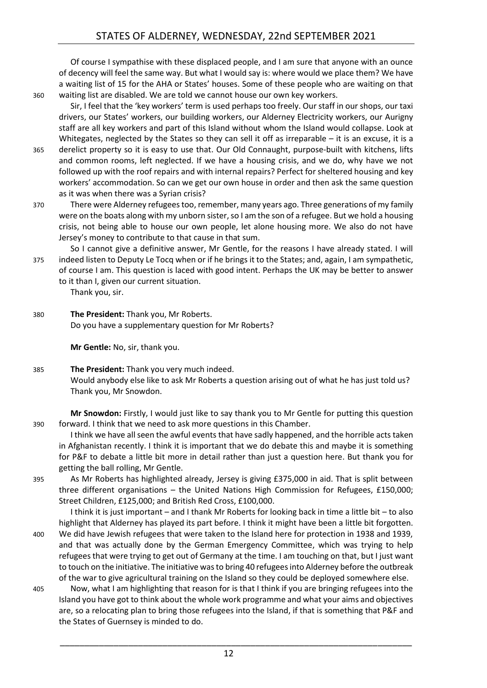Of course I sympathise with these displaced people, and I am sure that anyone with an ounce of decency will feel the same way. But what I would say is: where would we place them? We have a waiting list of 15 for the AHA or States' houses. Some of these people who are waiting on that 360 waiting list are disabled. We are told we cannot house our own key workers.

Sir, I feel that the 'key workers' term is used perhaps too freely. Our staff in our shops, our taxi drivers, our States' workers, our building workers, our Alderney Electricity workers, our Aurigny staff are all key workers and part of this Island without whom the Island would collapse. Look at Whitegates, neglected by the States so they can sell it off as irreparable – it is an excuse, it is a 365 derelict property so it is easy to use that. Our Old Connaught, purpose-built with kitchens, lifts and common rooms, left neglected. If we have a housing crisis, and we do, why have we not followed up with the roof repairs and with internal repairs? Perfect for sheltered housing and key workers' accommodation. So can we get our own house in order and then ask the same question as it was when there was a Syrian crisis?

- 370 There were Alderney refugees too, remember, many years ago. Three generations of my family were on the boats along with my unborn sister, so I am the son of a refugee. But we hold a housing crisis, not being able to house our own people, let alone housing more. We also do not have Jersey's money to contribute to that cause in that sum.
- So I cannot give a definitive answer, Mr Gentle, for the reasons I have already stated. I will 375 indeed listen to Deputy Le Tocq when or if he brings it to the States; and, again, I am sympathetic, of course I am. This question is laced with good intent. Perhaps the UK may be better to answer to it than I, given our current situation.

Thank you, sir.

380 **The President:** Thank you, Mr Roberts. Do you have a supplementary question for Mr Roberts?

**Mr Gentle:** No, sir, thank you.

385 **The President:** Thank you very much indeed. Would anybody else like to ask Mr Roberts a question arising out of what he has just told us? Thank you, Mr Snowdon.

**Mr Snowdon:** Firstly, I would just like to say thank you to Mr Gentle for putting this question 390 forward. I think that we need to ask more questions in this Chamber.

I think we have all seen the awful events that have sadly happened, and the horrible acts taken in Afghanistan recently. I think it is important that we do debate this and maybe it is something for P&F to debate a little bit more in detail rather than just a question here. But thank you for getting the ball rolling, Mr Gentle.

395 As Mr Roberts has highlighted already, Jersey is giving £375,000 in aid. That is split between three different organisations – the United Nations High Commission for Refugees, £150,000; Street Children, £125,000; and British Red Cross, £100,000.

I think it is just important – and I thank Mr Roberts for looking back in time a little bit – to also highlight that Alderney has played its part before. I think it might have been a little bit forgotten.

- 400 We did have Jewish refugees that were taken to the Island here for protection in 1938 and 1939, and that was actually done by the German Emergency Committee, which was trying to help refugees that were trying to get out of Germany at the time. I am touching on that, but I just want to touch on the initiative. The initiative was to bring 40 refugees into Alderney before the outbreak of the war to give agricultural training on the Island so they could be deployed somewhere else.
- 405 Now, what I am highlighting that reason for is that I think if you are bringing refugees into the Island you have got to think about the whole work programme and what your aims and objectives are, so a relocating plan to bring those refugees into the Island, if that is something that P&F and the States of Guernsey is minded to do.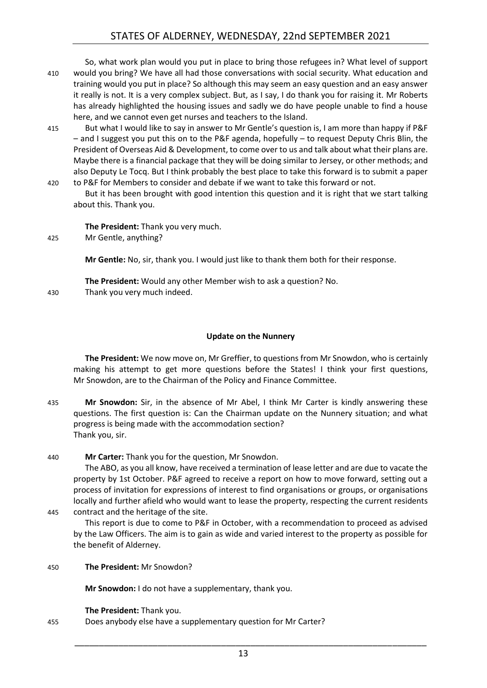#### STATES OF ALDERNEY, WEDNESDAY, 22nd SEPTEMBER 2021

So, what work plan would you put in place to bring those refugees in? What level of support 410 would you bring? We have all had those conversations with social security. What education and training would you put in place? So although this may seem an easy question and an easy answer it really is not. It is a very complex subject. But, as I say, I do thank you for raising it. Mr Roberts has already highlighted the housing issues and sadly we do have people unable to find a house here, and we cannot even get nurses and teachers to the Island.

- 415 But what I would like to say in answer to Mr Gentle's question is, I am more than happy if P&F – and I suggest you put this on to the P&F agenda, hopefully – to request Deputy Chris Blin, the President of Overseas Aid & Development, to come over to us and talk about what their plans are. Maybe there is a financial package that they will be doing similar to Jersey, or other methods; and also Deputy Le Tocq. But I think probably the best place to take this forward is to submit a paper 420 to P&F for Members to consider and debate if we want to take this forward or not.
- But it has been brought with good intention this question and it is right that we start talking about this. Thank you.

**The President:** Thank you very much.

425 Mr Gentle, anything?

**Mr Gentle:** No, sir, thank you. I would just like to thank them both for their response.

**The President:** Would any other Member wish to ask a question? No.

430 Thank you very much indeed.

#### **Update on the Nunnery**

<span id="page-12-0"></span>**The President:** We now move on, Mr Greffier, to questions from Mr Snowdon, who is certainly making his attempt to get more questions before the States! I think your first questions, Mr Snowdon, are to the Chairman of the Policy and Finance Committee.

435 **Mr Snowdon:** Sir, in the absence of Mr Abel, I think Mr Carter is kindly answering these questions. The first question is: Can the Chairman update on the Nunnery situation; and what progress is being made with the accommodation section? Thank you, sir.

440 **Mr Carter:** Thank you for the question, Mr Snowdon.

The ABO, as you all know, have received a termination of lease letter and are due to vacate the property by 1st October. P&F agreed to receive a report on how to move forward, setting out a process of invitation for expressions of interest to find organisations or groups, or organisations locally and further afield who would want to lease the property, respecting the current residents 445 contract and the heritage of the site.

This report is due to come to P&F in October, with a recommendation to proceed as advised by the Law Officers. The aim is to gain as wide and varied interest to the property as possible for the benefit of Alderney.

450 **The President:** Mr Snowdon?

**Mr Snowdon:** I do not have a supplementary, thank you.

**The President:** Thank you.

455 Does anybody else have a supplementary question for Mr Carter?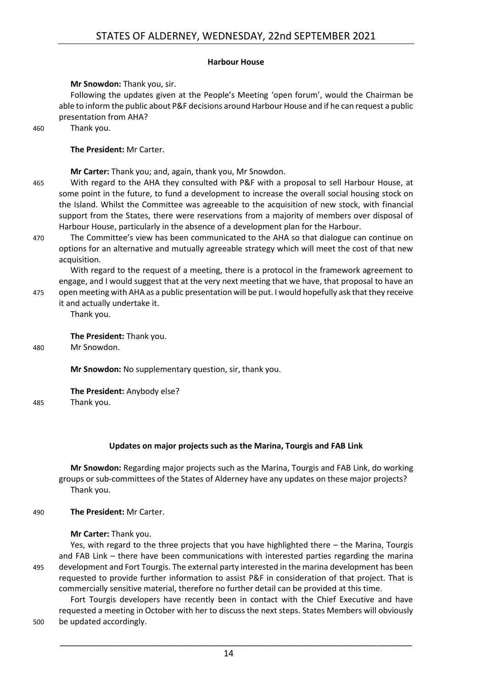#### **Harbour House**

#### <span id="page-13-0"></span>**Mr Snowdon:** Thank you, sir.

Following the updates given at the People's Meeting 'open forum', would the Chairman be able to inform the public about P&F decisions around Harbour House and if he can request a public presentation from AHA?

460 Thank you.

**The President:** Mr Carter.

**Mr Carter:** Thank you; and, again, thank you, Mr Snowdon.

- 465 With regard to the AHA they consulted with P&F with a proposal to sell Harbour House, at some point in the future, to fund a development to increase the overall social housing stock on the Island. Whilst the Committee was agreeable to the acquisition of new stock, with financial support from the States, there were reservations from a majority of members over disposal of Harbour House, particularly in the absence of a development plan for the Harbour.
- 470 The Committee's view has been communicated to the AHA so that dialogue can continue on options for an alternative and mutually agreeable strategy which will meet the cost of that new acquisition.

With regard to the request of a meeting, there is a protocol in the framework agreement to engage, and I would suggest that at the very next meeting that we have, that proposal to have an 475 open meeting with AHA as a public presentation will be put. I would hopefully ask that they receive

it and actually undertake it.

Thank you.

**The President:** Thank you.

480 Mr Snowdon.

**Mr Snowdon:** No supplementary question, sir, thank you.

**The President:** Anybody else?

485 Thank you.

#### **Updates on major projects such as the Marina, Tourgis and FAB Link**

<span id="page-13-1"></span>**Mr Snowdon:** Regarding major projects such as the Marina, Tourgis and FAB Link, do working groups or sub-committees of the States of Alderney have any updates on these major projects? Thank you.

490 **The President:** Mr Carter.

**Mr Carter:** Thank you.

Yes, with regard to the three projects that you have highlighted there – the Marina, Tourgis and FAB Link – there have been communications with interested parties regarding the marina 495 development and Fort Tourgis. The external party interested in the marina development has been requested to provide further information to assist P&F in consideration of that project. That is commercially sensitive material, therefore no further detail can be provided at this time.

Fort Tourgis developers have recently been in contact with the Chief Executive and have requested a meeting in October with her to discuss the next steps. States Members will obviously 500 be updated accordingly.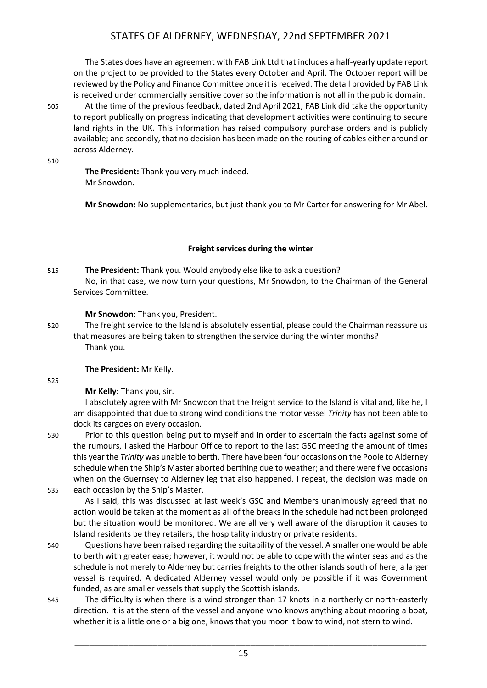The States does have an agreement with FAB Link Ltd that includes a half-yearly update report on the project to be provided to the States every October and April. The October report will be reviewed by the Policy and Finance Committee once it is received. The detail provided by FAB Link is received under commercially sensitive cover so the information is not all in the public domain.

505 At the time of the previous feedback, dated 2nd April 2021, FAB Link did take the opportunity to report publically on progress indicating that development activities were continuing to secure land rights in the UK. This information has raised compulsory purchase orders and is publicly available; and secondly, that no decision has been made on the routing of cables either around or across Alderney.

510

**The President:** Thank you very much indeed. Mr Snowdon.

**Mr Snowdon:** No supplementaries, but just thank you to Mr Carter for answering for Mr Abel.

#### **Freight services during the winter**

<span id="page-14-0"></span>515 **The President:** Thank you. Would anybody else like to ask a question? No, in that case, we now turn your questions, Mr Snowdon, to the Chairman of the General Services Committee.

#### **Mr Snowdon:** Thank you, President.

520 The freight service to the Island is absolutely essential, please could the Chairman reassure us that measures are being taken to strengthen the service during the winter months? Thank you.

#### **The President:** Mr Kelly.

#### 525

**Mr Kelly:** Thank you, sir.

I absolutely agree with Mr Snowdon that the freight service to the Island is vital and, like he, I am disappointed that due to strong wind conditions the motor vessel *Trinity* has not been able to dock its cargoes on every occasion.

530 Prior to this question being put to myself and in order to ascertain the facts against some of the rumours, I asked the Harbour Office to report to the last GSC meeting the amount of times this year the *Trinity* was unable to berth. There have been four occasions on the Poole to Alderney schedule when the Ship's Master aborted berthing due to weather; and there were five occasions when on the Guernsey to Alderney leg that also happened. I repeat, the decision was made on 535 each occasion by the Ship's Master.

As I said, this was discussed at last week's GSC and Members unanimously agreed that no action would be taken at the moment as all of the breaks in the schedule had not been prolonged but the situation would be monitored. We are all very well aware of the disruption it causes to Island residents be they retailers, the hospitality industry or private residents.

- 540 Questions have been raised regarding the suitability of the vessel. A smaller one would be able to berth with greater ease; however, it would not be able to cope with the winter seas and as the schedule is not merely to Alderney but carries freights to the other islands south of here, a larger vessel is required. A dedicated Alderney vessel would only be possible if it was Government funded, as are smaller vessels that supply the Scottish islands.
- 545 The difficulty is when there is a wind stronger than 17 knots in a northerly or north-easterly direction. It is at the stern of the vessel and anyone who knows anything about mooring a boat, whether it is a little one or a big one, knows that you moor it bow to wind, not stern to wind.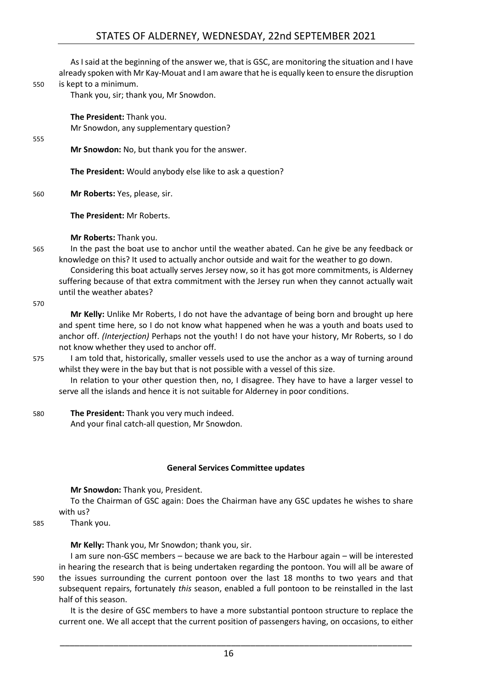As I said at the beginning of the answer we, that is GSC, are monitoring the situation and I have already spoken with Mr Kay-Mouat and I am aware that he is equally keen to ensure the disruption 550 is kept to a minimum.

Thank you, sir; thank you, Mr Snowdon.

**The President:** Thank you. Mr Snowdon, any supplementary question?

#### 555

**Mr Snowdon:** No, but thank you for the answer.

**The President:** Would anybody else like to ask a question?

560 **Mr Roberts:** Yes, please, sir.

**The President:** Mr Roberts.

**Mr Roberts:** Thank you.

565 In the past the boat use to anchor until the weather abated. Can he give be any feedback or knowledge on this? It used to actually anchor outside and wait for the weather to go down.

Considering this boat actually serves Jersey now, so it has got more commitments, is Alderney suffering because of that extra commitment with the Jersey run when they cannot actually wait until the weather abates?

570

**Mr Kelly:** Unlike Mr Roberts, I do not have the advantage of being born and brought up here and spent time here, so I do not know what happened when he was a youth and boats used to anchor off. *(Interjection)* Perhaps not the youth! I do not have your history, Mr Roberts, so I do not know whether they used to anchor off.

575 I am told that, historically, smaller vessels used to use the anchor as a way of turning around whilst they were in the bay but that is not possible with a vessel of this size.

In relation to your other question then, no, I disagree. They have to have a larger vessel to serve all the islands and hence it is not suitable for Alderney in poor conditions.

580 **The President:** Thank you very much indeed. And your final catch-all question, Mr Snowdon.

#### **General Services Committee updates**

<span id="page-15-0"></span>**Mr Snowdon:** Thank you, President.

To the Chairman of GSC again: Does the Chairman have any GSC updates he wishes to share with us?

585 Thank you.

**Mr Kelly:** Thank you, Mr Snowdon; thank you, sir.

I am sure non-GSC members – because we are back to the Harbour again – will be interested in hearing the research that is being undertaken regarding the pontoon. You will all be aware of 590 the issues surrounding the current pontoon over the last 18 months to two years and that subsequent repairs, fortunately *this* season, enabled a full pontoon to be reinstalled in the last half of this season.

It is the desire of GSC members to have a more substantial pontoon structure to replace the current one. We all accept that the current position of passengers having, on occasions, to either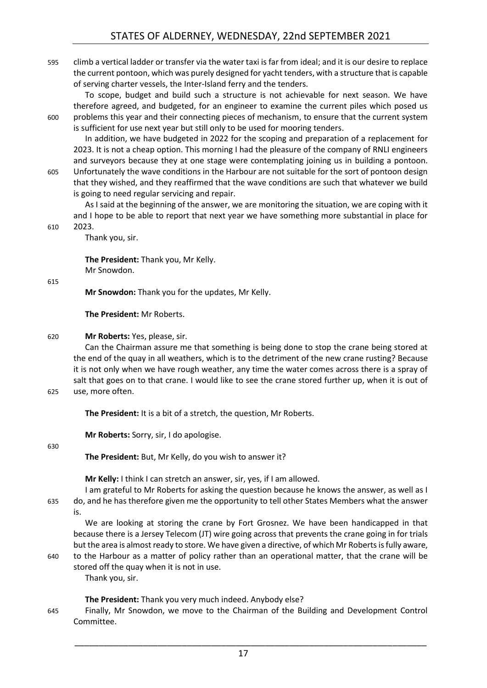595 climb a vertical ladder or transfer via the water taxi is far from ideal; and it is our desire to replace the current pontoon, which was purely designed for yacht tenders, with a structure that is capable of serving charter vessels, the Inter-Island ferry and the tenders.

To scope, budget and build such a structure is not achievable for next season. We have therefore agreed, and budgeted, for an engineer to examine the current piles which posed us 600 problems this year and their connecting pieces of mechanism, to ensure that the current system is sufficient for use next year but still only to be used for mooring tenders.

In addition, we have budgeted in 2022 for the scoping and preparation of a replacement for 2023. It is not a cheap option. This morning I had the pleasure of the company of RNLI engineers and surveyors because they at one stage were contemplating joining us in building a pontoon. 605 Unfortunately the wave conditions in the Harbour are not suitable for the sort of pontoon design

that they wished, and they reaffirmed that the wave conditions are such that whatever we build is going to need regular servicing and repair.

As I said at the beginning of the answer, we are monitoring the situation, we are coping with it and I hope to be able to report that next year we have something more substantial in place for 610 2023.

Thank you, sir.

**The President:** Thank you, Mr Kelly. Mr Snowdon.

615

**Mr Snowdon:** Thank you for the updates, Mr Kelly.

**The President:** Mr Roberts.

#### 620 **Mr Roberts:** Yes, please, sir.

Can the Chairman assure me that something is being done to stop the crane being stored at the end of the quay in all weathers, which is to the detriment of the new crane rusting? Because it is not only when we have rough weather, any time the water comes across there is a spray of salt that goes on to that crane. I would like to see the crane stored further up, when it is out of 625 use, more often.

**The President:** It is a bit of a stretch, the question, Mr Roberts.

**Mr Roberts:** Sorry, sir, I do apologise.

#### 630

**The President:** But, Mr Kelly, do you wish to answer it?

**Mr Kelly:** I think I can stretch an answer, sir, yes, if I am allowed.

I am grateful to Mr Roberts for asking the question because he knows the answer, as well as I 635 do, and he has therefore given me the opportunity to tell other States Members what the answer is.

We are looking at storing the crane by Fort Grosnez. We have been handicapped in that because there is a Jersey Telecom (JT) wire going across that prevents the crane going in for trials but the area is almost ready to store. We have given a directive, of which Mr Roberts is fully aware,

640 to the Harbour as a matter of policy rather than an operational matter, that the crane will be stored off the quay when it is not in use.

Thank you, sir.

**The President:** Thank you very much indeed. Anybody else?

645 Finally, Mr Snowdon, we move to the Chairman of the Building and Development Control Committee.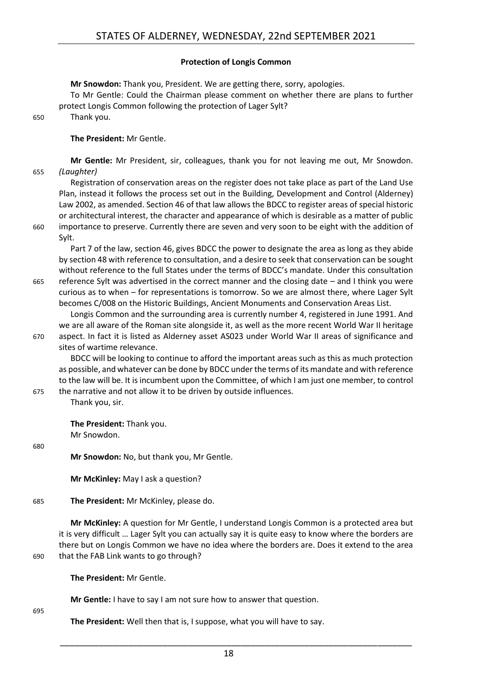#### **Protection of Longis Common**

<span id="page-17-0"></span>**Mr Snowdon:** Thank you, President. We are getting there, sorry, apologies. To Mr Gentle: Could the Chairman please comment on whether there are plans to further protect Longis Common following the protection of Lager Sylt? 650 Thank you.

#### **The President:** Mr Gentle.

**Mr Gentle:** Mr President, sir, colleagues, thank you for not leaving me out, Mr Snowdon. 655 *(Laughter)*

Registration of conservation areas on the register does not take place as part of the Land Use Plan, instead it follows the process set out in the Building, Development and Control (Alderney) Law 2002, as amended. Section 46 of that law allows the BDCC to register areas of special historic or architectural interest, the character and appearance of which is desirable as a matter of public 660 importance to preserve. Currently there are seven and very soon to be eight with the addition of Sylt.

Part 7 of the law, section 46, gives BDCC the power to designate the area as long as they abide by section 48 with reference to consultation, and a desire to seek that conservation can be sought without reference to the full States under the terms of BDCC's mandate. Under this consultation 665 reference Sylt was advertised in the correct manner and the closing date – and I think you were curious as to when – for representations is tomorrow. So we are almost there, where Lager Sylt

becomes C/008 on the Historic Buildings, Ancient Monuments and Conservation Areas List. Longis Common and the surrounding area is currently number 4, registered in June 1991. And we are all aware of the Roman site alongside it, as well as the more recent World War II heritage

670 aspect. In fact it is listed as Alderney asset AS023 under World War II areas of significance and sites of wartime relevance.

BDCC will be looking to continue to afford the important areas such as this as much protection as possible, and whatever can be done by BDCC under the terms of its mandate and with reference to the law will be. It is incumbent upon the Committee, of which I am just one member, to control 675 the narrative and not allow it to be driven by outside influences.

Thank you, sir.

**The President:** Thank you. Mr Snowdon.

680

**Mr Snowdon:** No, but thank you, Mr Gentle.

**Mr McKinley:** May I ask a question?

685 **The President:** Mr McKinley, please do.

**Mr McKinley:** A question for Mr Gentle, I understand Longis Common is a protected area but it is very difficult … Lager Sylt you can actually say it is quite easy to know where the borders are there but on Longis Common we have no idea where the borders are. Does it extend to the area 690 that the FAB Link wants to go through?

**The President:** Mr Gentle.

**Mr Gentle:** I have to say I am not sure how to answer that question.

695

**The President:** Well then that is, I suppose, what you will have to say.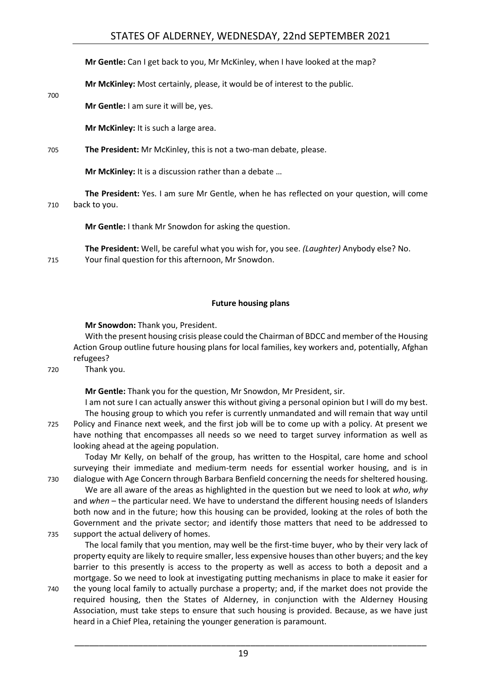#### STATES OF ALDERNEY, WEDNESDAY, 22nd SEPTEMBER 2021

**Mr Gentle:** Can I get back to you, Mr McKinley, when I have looked at the map?

**Mr McKinley:** Most certainly, please, it would be of interest to the public.

**Mr Gentle:** I am sure it will be, yes.

700

**Mr McKinley:** It is such a large area.

705 **The President:** Mr McKinley, this is not a two-man debate, please.

**Mr McKinley:** It is a discussion rather than a debate …

**The President:** Yes. I am sure Mr Gentle, when he has reflected on your question, will come 710 back to you.

**Mr Gentle:** I thank Mr Snowdon for asking the question.

**The President:** Well, be careful what you wish for, you see. *(Laughter)* Anybody else? No. 715 Your final question for this afternoon, Mr Snowdon.

#### **Future housing plans**

<span id="page-18-0"></span>**Mr Snowdon:** Thank you, President.

With the present housing crisis please could the Chairman of BDCC and member of the Housing Action Group outline future housing plans for local families, key workers and, potentially, Afghan refugees?

720 Thank you.

**Mr Gentle:** Thank you for the question, Mr Snowdon, Mr President, sir.

I am not sure I can actually answer this without giving a personal opinion but I will do my best. The housing group to which you refer is currently unmandated and will remain that way until 725 Policy and Finance next week, and the first job will be to come up with a policy. At present we have nothing that encompasses all needs so we need to target survey information as well as looking ahead at the ageing population.

Today Mr Kelly, on behalf of the group, has written to the Hospital, care home and school surveying their immediate and medium-term needs for essential worker housing, and is in 730 dialogue with Age Concern through Barbara Benfield concerning the needs for sheltered housing.

We are all aware of the areas as highlighted in the question but we need to look at *who*, *why* and *when* – the particular need. We have to understand the different housing needs of Islanders both now and in the future; how this housing can be provided, looking at the roles of both the Government and the private sector; and identify those matters that need to be addressed to 735 support the actual delivery of homes.

The local family that you mention, may well be the first-time buyer, who by their very lack of property equity are likely to require smaller, less expensive houses than other buyers; and the key barrier to this presently is access to the property as well as access to both a deposit and a mortgage. So we need to look at investigating putting mechanisms in place to make it easier for

740 the young local family to actually purchase a property; and, if the market does not provide the required housing, then the States of Alderney, in conjunction with the Alderney Housing Association, must take steps to ensure that such housing is provided. Because, as we have just heard in a Chief Plea, retaining the younger generation is paramount.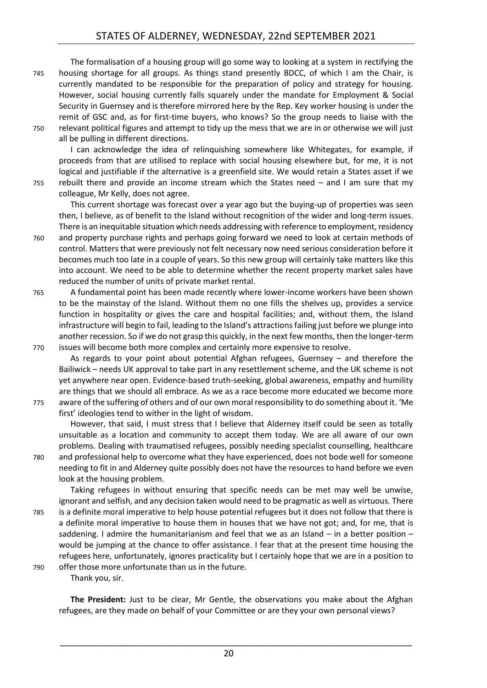The formalisation of a housing group will go some way to looking at a system in rectifying the 745 housing shortage for all groups. As things stand presently BDCC, of which I am the Chair, is currently mandated to be responsible for the preparation of policy and strategy for housing. However, social housing currently falls squarely under the mandate for Employment & Social Security in Guernsey and is therefore mirrored here by the Rep. Key worker housing is under the remit of GSC and, as for first-time buyers, who knows? So the group needs to liaise with the 750 relevant political figures and attempt to tidy up the mess that we are in or otherwise we will just all be pulling in different directions.

I can acknowledge the idea of relinquishing somewhere like Whitegates, for example, if proceeds from that are utilised to replace with social housing elsewhere but, for me, it is not logical and justifiable if the alternative is a greenfield site. We would retain a States asset if we 755 rebuilt there and provide an income stream which the States need – and I am sure that my

colleague, Mr Kelly, does not agree.

This current shortage was forecast over a year ago but the buying-up of properties was seen then, I believe, as of benefit to the Island without recognition of the wider and long-term issues. There is an inequitable situation which needs addressing with reference to employment, residency

760 and property purchase rights and perhaps going forward we need to look at certain methods of control. Matters that were previously not felt necessary now need serious consideration before it becomes much too late in a couple of years. So this new group will certainly take matters like this into account. We need to be able to determine whether the recent property market sales have reduced the number of units of private market rental.

765 A fundamental point has been made recently where lower-income workers have been shown to be the mainstay of the Island. Without them no one fills the shelves up, provides a service function in hospitality or gives the care and hospital facilities; and, without them, the Island infrastructure will begin to fail, leading to the Island's attractions failing just before we plunge into another recession. So if we do not grasp this quickly, in the next few months, then the longer-term 770 issues will become both more complex and certainly more expensive to resolve.

As regards to your point about potential Afghan refugees, Guernsey – and therefore the Bailiwick – needs UK approval to take part in any resettlement scheme, and the UK scheme is not yet anywhere near open. Evidence-based truth-seeking, global awareness, empathy and humility are things that we should all embrace. As we as a race become more educated we become more 775 aware of the suffering of others and of our own moral responsibility to do something about it. 'Me

first' ideologies tend to wither in the light of wisdom.

However, that said, I must stress that I believe that Alderney itself could be seen as totally unsuitable as a location and community to accept them today. We are all aware of our own problems. Dealing with traumatised refugees, possibly needing specialist counselling, healthcare 780 and professional help to overcome what they have experienced, does not bode well for someone needing to fit in and Alderney quite possibly does not have the resources to hand before we even look at the housing problem.

Taking refugees in without ensuring that specific needs can be met may well be unwise, ignorant and selfish, and any decision taken would need to be pragmatic as well as virtuous. There 785 is a definite moral imperative to help house potential refugees but it does not follow that there is a definite moral imperative to house them in houses that we have not got; and, for me, that is saddening. I admire the humanitarianism and feel that we as an Island – in a better position – would be jumping at the chance to offer assistance. I fear that at the present time housing the refugees here, unfortunately, ignores practicality but I certainly hope that we are in a position to 790 offer those more unfortunate than us in the future.

Thank you, sir.

**The President:** Just to be clear, Mr Gentle, the observations you make about the Afghan refugees, are they made on behalf of your Committee or are they your own personal views?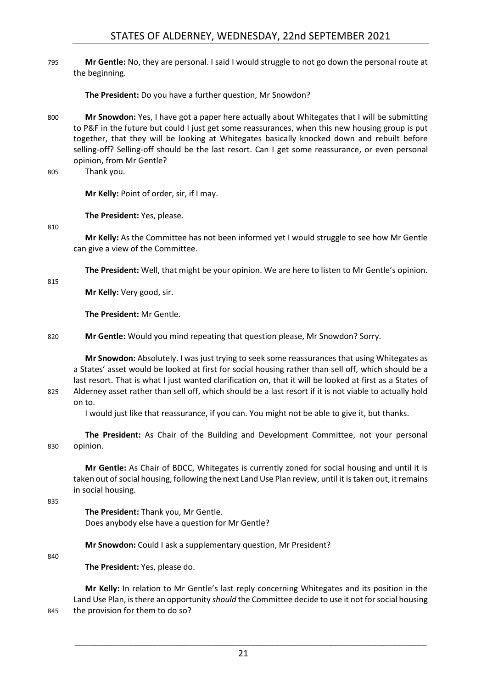795 **Mr Gentle:** No, they are personal. I said I would struggle to not go down the personal route at the beginning.

**The President:** Do you have a further question, Mr Snowdon?

- 800 **Mr Snowdon:** Yes, I have got a paper here actually about Whitegates that I will be submitting to P&F in the future but could I just get some reassurances, when this new housing group is put together, that they will be looking at Whitegates basically knocked down and rebuilt before selling-off? Selling-off should be the last resort. Can I get some reassurance, or even personal opinion, from Mr Gentle?
- 805 Thank you.

**Mr Kelly:** Point of order, sir, if I may.

**The President:** Yes, please.

810

**Mr Kelly:** As the Committee has not been informed yet I would struggle to see how Mr Gentle can give a view of the Committee.

**The President:** Well, that might be your opinion. We are here to listen to Mr Gentle's opinion.

815

**Mr Kelly:** Very good, sir.

**The President:** Mr Gentle.

820 **Mr Gentle:** Would you mind repeating that question please, Mr Snowdon? Sorry.

**Mr Snowdon:** Absolutely. I was just trying to seek some reassurances that using Whitegates as a States' asset would be looked at first for social housing rather than sell off, which should be a last resort. That is what I just wanted clarification on, that it will be looked at first as a States of 825 Alderney asset rather than sell off, which should be a last resort if it is not viable to actually hold on to.

I would just like that reassurance, if you can. You might not be able to give it, but thanks.

**The President:** As Chair of the Building and Development Committee, not your personal 830 opinion.

**Mr Gentle:** As Chair of BDCC, Whitegates is currently zoned for social housing and until it is taken out of social housing, following the next Land Use Plan review, until it is taken out, it remains in social housing.

835

**The President:** Thank you, Mr Gentle. Does anybody else have a question for Mr Gentle?

**Mr Snowdon:** Could I ask a supplementary question, Mr President?

840

**The President:** Yes, please do.

**Mr Kelly:** In relation to Mr Gentle's last reply concerning Whitegates and its position in the Land Use Plan, is there an opportunity *should* the Committee decide to use it not for social housing 845 the provision for them to do so?